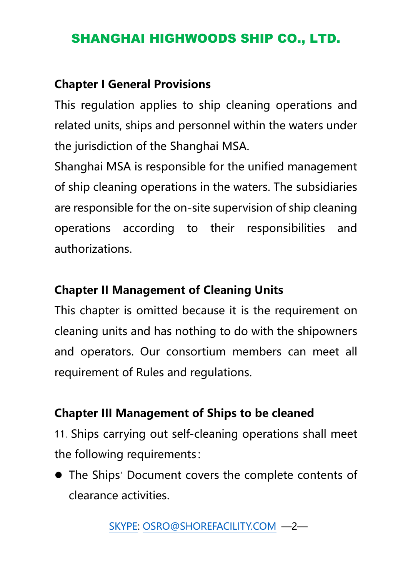#### **Chapter I General Provisions**

This regulation applies to ship cleaning operations and related units, ships and personnel within the waters under the jurisdiction of the Shanghai MSA.

Shanghai MSA is responsible for the unified management of ship cleaning operations in the waters. The subsidiaries are responsible for the on-site supervision of ship cleaning operations according to their responsibilities and authorizations.

### **Chapter II Management of Cleaning Units**

This chapter is omitted because it is the requirement on cleaning units and has nothing to do with the shipowners and operators. Our consortium members can meet all requirement of Rules and regulations.

#### **Chapter III Management of Ships to be cleaned**

11.Ships carrying out self-cleaning operations shall meet the following requirements:

⚫ The Ships' Document covers the complete contents of clearance activities.

[SKYPE:](mailto:SKYPE) [OSRO@SHOREFACILITY.COM](mailto:OSRO@SHOREFACILITY.COM) —2—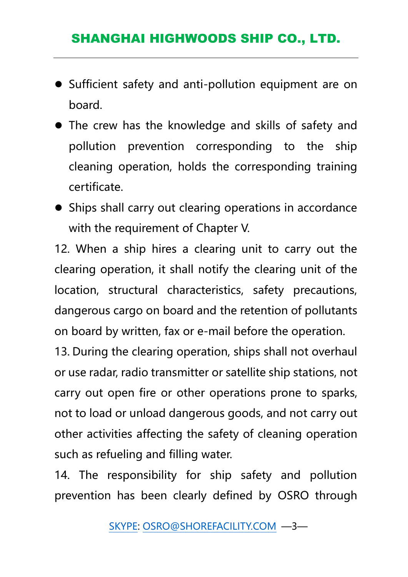- ⚫ Sufficient safety and anti-pollution equipment are on board.
- ⚫ The crew has the knowledge and skills of safety and pollution prevention corresponding to the ship cleaning operation, holds the corresponding training certificate.
- ⚫ Ships shall carry out clearing operations in accordance with the requirement of Chapter V.

12. When a ship hires a clearing unit to carry out the clearing operation, it shall notify the clearing unit of the location, structural characteristics, safety precautions, dangerous cargo on board and the retention of pollutants on board by written, fax or e-mail before the operation.

13. During the clearing operation, ships shall not overhaul or use radar, radio transmitter or satellite ship stations, not carry out open fire or other operations prone to sparks, not to load or unload dangerous goods, and not carry out other activities affecting the safety of cleaning operation such as refueling and filling water.

14. The responsibility for ship safety and pollution prevention has been clearly defined by OSRO through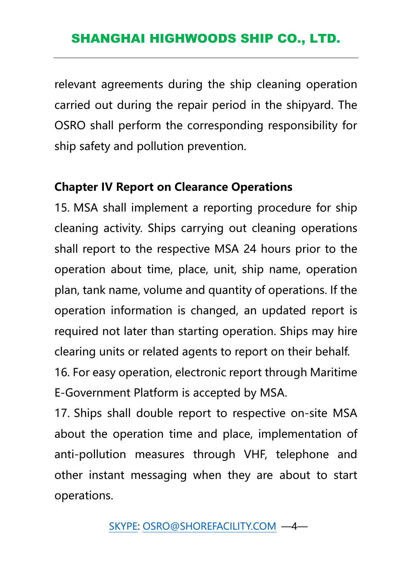relevant agreements during the ship cleaning operation carried out during the repair period in the shipyard. The OSRO shall perform the corresponding responsibility for ship safety and pollution prevention.

#### **Chapter IV Report on Clearance Operations**

15. MSA shall implement a reporting procedure for ship cleaning activity. Ships carrying out cleaning operations shall report to the respective MSA 24 hours prior to the operation about time, place, unit, ship name, operation plan, tank name, volume and quantity of operations. If the operation information is changed, an updated report is required not later than starting operation. Ships may hire clearing units or related agents to report on their behalf. 16. For easy operation, electronic report through Maritime E-Government Platform is accepted by MSA.

17. Ships shall double report to respective on-site MSA about the operation time and place, implementation of anti-pollution measures through VHF, telephone and other instant messaging when they are about to start operations.

[SKYPE:](mailto:SKYPE) [OSRO@SHOREFACILITY.COM](mailto:OSRO@SHOREFACILITY.COM) —4—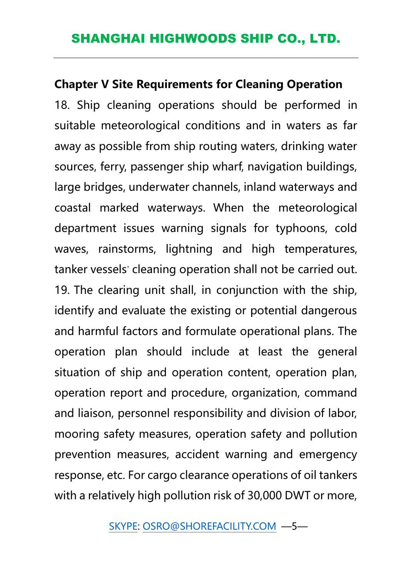#### **Chapter V Site Requirements for Cleaning Operation**

18. Ship cleaning operations should be performed in suitable meteorological conditions and in waters as far away as possible from ship routing waters, drinking water sources, ferry, passenger ship wharf, navigation buildings, large bridges, underwater channels, inland waterways and coastal marked waterways. When the meteorological department issues warning signals for typhoons, cold waves, rainstorms, lightning and high temperatures, tanker vessels' cleaning operation shall not be carried out. 19. The clearing unit shall, in conjunction with the ship, identify and evaluate the existing or potential dangerous and harmful factors and formulate operational plans. The operation plan should include at least the general situation of ship and operation content, operation plan, operation report and procedure, organization, command and liaison, personnel responsibility and division of labor, mooring safety measures, operation safety and pollution prevention measures, accident warning and emergency response, etc. For cargo clearance operations of oil tankers with a relatively high pollution risk of 30,000 DWT or more,

[SKYPE:](mailto:SKYPE) [OSRO@SHOREFACILITY.COM](mailto:OSRO@SHOREFACILITY.COM) —5—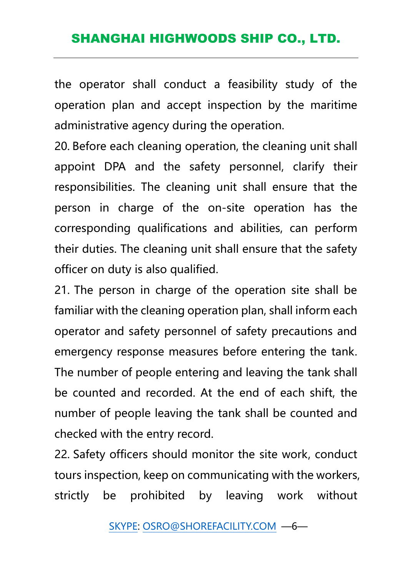the operator shall conduct a feasibility study of the operation plan and accept inspection by the maritime administrative agency during the operation.

20. Before each cleaning operation, the cleaning unit shall appoint DPA and the safety personnel, clarify their responsibilities. The cleaning unit shall ensure that the person in charge of the on-site operation has the corresponding qualifications and abilities, can perform their duties. The cleaning unit shall ensure that the safety officer on duty is also qualified.

21. The person in charge of the operation site shall be familiar with the cleaning operation plan, shall inform each operator and safety personnel of safety precautions and emergency response measures before entering the tank. The number of people entering and leaving the tank shall be counted and recorded. At the end of each shift, the number of people leaving the tank shall be counted and checked with the entry record.

22. Safety officers should monitor the site work, conduct tours inspection, keep on communicating with the workers, strictly be prohibited by leaving work without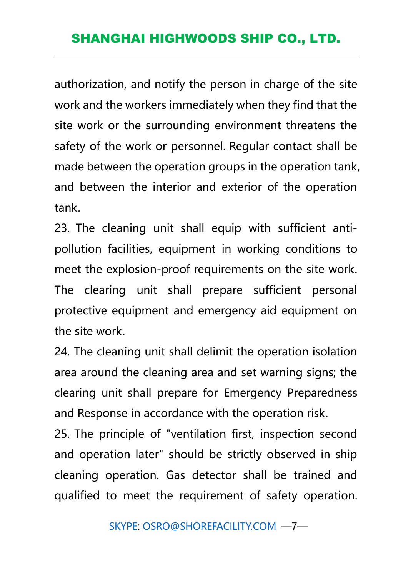authorization, and notify the person in charge of the site work and the workers immediately when they find that the site work or the surrounding environment threatens the safety of the work or personnel. Regular contact shall be made between the operation groups in the operation tank, and between the interior and exterior of the operation tank.

23. The cleaning unit shall equip with sufficient antipollution facilities, equipment in working conditions to meet the explosion-proof requirements on the site work. The clearing unit shall prepare sufficient personal protective equipment and emergency aid equipment on the site work.

24. The cleaning unit shall delimit the operation isolation area around the cleaning area and set warning signs; the clearing unit shall prepare for Emergency Preparedness and Response in accordance with the operation risk.

25. The principle of "ventilation first, inspection second and operation later" should be strictly observed in ship cleaning operation. Gas detector shall be trained and qualified to meet the requirement of safety operation.

[SKYPE:](mailto:SKYPE) [OSRO@SHOREFACILITY.COM](mailto:OSRO@SHOREFACILITY.COM) —7—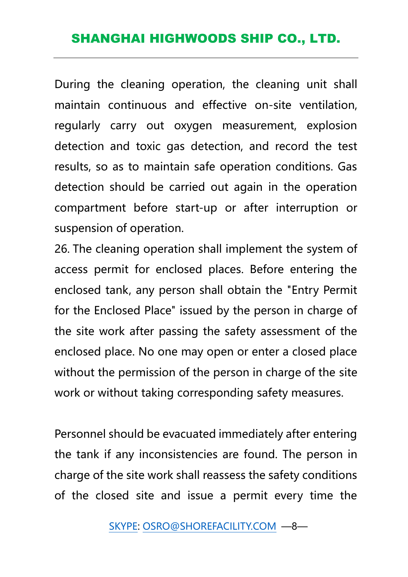During the cleaning operation, the cleaning unit shall maintain continuous and effective on-site ventilation, regularly carry out oxygen measurement, explosion detection and toxic gas detection, and record the test results, so as to maintain safe operation conditions. Gas detection should be carried out again in the operation compartment before start-up or after interruption or suspension of operation.

26. The cleaning operation shall implement the system of access permit for enclosed places. Before entering the enclosed tank, any person shall obtain the "Entry Permit for the Enclosed Place" issued by the person in charge of the site work after passing the safety assessment of the enclosed place. No one may open or enter a closed place without the permission of the person in charge of the site work or without taking corresponding safety measures.

Personnel should be evacuated immediately after entering the tank if any inconsistencies are found. The person in charge of the site work shall reassess the safety conditions of the closed site and issue a permit every time the

[SKYPE:](mailto:SKYPE) [OSRO@SHOREFACILITY.COM](mailto:OSRO@SHOREFACILITY.COM) —8—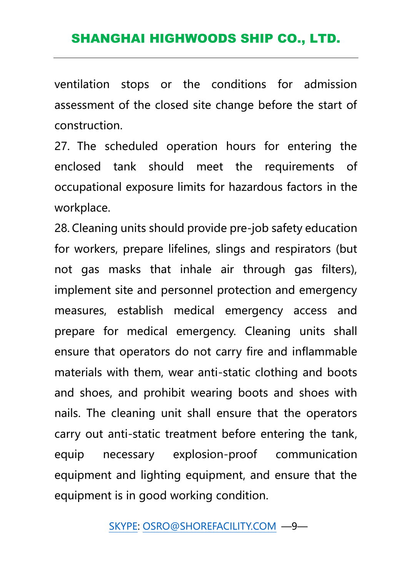ventilation stops or the conditions for admission assessment of the closed site change before the start of construction.

27. The scheduled operation hours for entering the enclosed tank should meet the requirements of occupational exposure limits for hazardous factors in the workplace.

28. Cleaning units should provide pre-job safety education for workers, prepare lifelines, slings and respirators (but not gas masks that inhale air through gas filters), implement site and personnel protection and emergency measures, establish medical emergency access and prepare for medical emergency. Cleaning units shall ensure that operators do not carry fire and inflammable materials with them, wear anti-static clothing and boots and shoes, and prohibit wearing boots and shoes with nails. The cleaning unit shall ensure that the operators carry out anti-static treatment before entering the tank, equip necessary explosion-proof communication equipment and lighting equipment, and ensure that the equipment is in good working condition.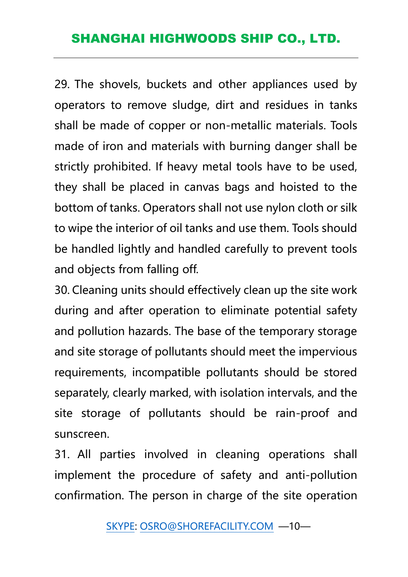29. The shovels, buckets and other appliances used by operators to remove sludge, dirt and residues in tanks shall be made of copper or non-metallic materials. Tools made of iron and materials with burning danger shall be strictly prohibited. If heavy metal tools have to be used, they shall be placed in canvas bags and hoisted to the bottom of tanks. Operators shall not use nylon cloth or silk to wipe the interior of oil tanks and use them. Tools should be handled lightly and handled carefully to prevent tools and objects from falling off.

30. Cleaning units should effectively clean up the site work during and after operation to eliminate potential safety and pollution hazards. The base of the temporary storage and site storage of pollutants should meet the impervious requirements, incompatible pollutants should be stored separately, clearly marked, with isolation intervals, and the site storage of pollutants should be rain-proof and sunscreen.

31. All parties involved in cleaning operations shall implement the procedure of safety and anti-pollution confirmation. The person in charge of the site operation

[SKYPE:](mailto:SKYPE) [OSRO@SHOREFACILITY.COM](mailto:OSRO@SHOREFACILITY.COM) —10—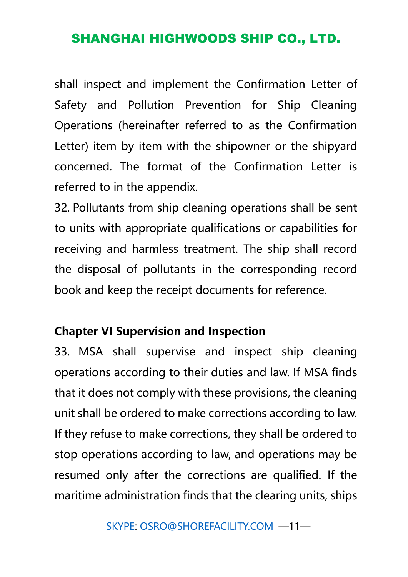shall inspect and implement the Confirmation Letter of Safety and Pollution Prevention for Ship Cleaning Operations (hereinafter referred to as the Confirmation Letter) item by item with the shipowner or the shipyard concerned. The format of the Confirmation Letter is referred to in the appendix.

32. Pollutants from ship cleaning operations shall be sent to units with appropriate qualifications or capabilities for receiving and harmless treatment. The ship shall record the disposal of pollutants in the corresponding record book and keep the receipt documents for reference.

### **Chapter VI Supervision and Inspection**

33. MSA shall supervise and inspect ship cleaning operations according to their duties and law. If MSA finds that it does not comply with these provisions, the cleaning unit shall be ordered to make corrections according to law. If they refuse to make corrections, they shall be ordered to stop operations according to law, and operations may be resumed only after the corrections are qualified. If the maritime administration finds that the clearing units, ships

[SKYPE:](mailto:SKYPE) [OSRO@SHOREFACILITY.COM](mailto:OSRO@SHOREFACILITY.COM) —11—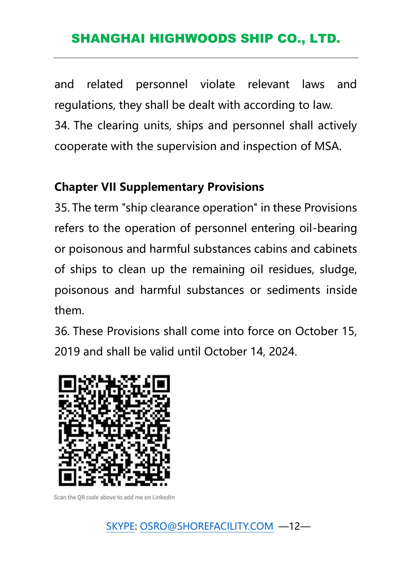and related personnel violate relevant laws and regulations, they shall be dealt with according to law. 34. The clearing units, ships and personnel shall actively cooperate with the supervision and inspection of MSA.

### **Chapter VII Supplementary Provisions**

35. The term "ship clearance operation" in these Provisions refers to the operation of personnel entering oil-bearing or poisonous and harmful substances cabins and cabinets of ships to clean up the remaining oil residues, sludge, poisonous and harmful substances or sediments inside them.

36. These Provisions shall come into force on October 15, 2019 and shall be valid until October 14, 2024.



Scan the QR code above to add me on LinkedIn

[SKYPE:](mailto:SKYPE) [OSRO@SHOREFACILITY.COM](mailto:OSRO@SHOREFACILITY.COM) —12—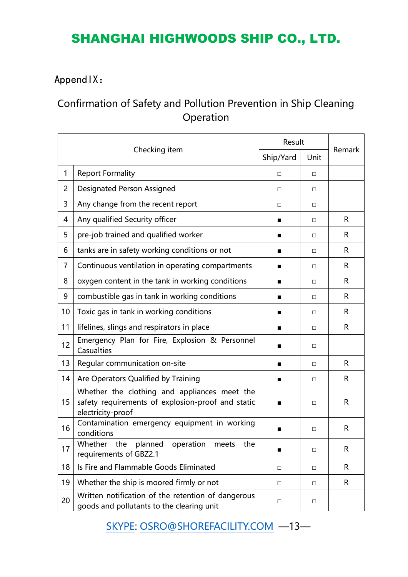#### AppendIX:

### Confirmation of Safety and Pollution Prevention in Ship Cleaning Operation

| Checking item  |                                                                                                                        | Result         |        |        |
|----------------|------------------------------------------------------------------------------------------------------------------------|----------------|--------|--------|
|                |                                                                                                                        | Ship/Yard      | Unit   | Remark |
| $\mathbf{1}$   | <b>Report Formality</b>                                                                                                | $\Box$         | $\Box$ |        |
| $\overline{2}$ | <b>Designated Person Assigned</b>                                                                                      | $\Box$         | $\Box$ |        |
| 3              | Any change from the recent report                                                                                      | $\Box$         | $\Box$ |        |
| 4              | Any qualified Security officer                                                                                         | ■              | $\Box$ | R      |
| 5              | pre-job trained and qualified worker                                                                                   | ■              | $\Box$ | R      |
| 6              | tanks are in safety working conditions or not                                                                          |                | $\Box$ | R      |
| $\overline{7}$ | Continuous ventilation in operating compartments                                                                       | ■              | $\Box$ | R      |
| 8              | oxygen content in the tank in working conditions                                                                       | ■              | $\Box$ | R      |
| 9              | combustible gas in tank in working conditions                                                                          | ■              | $\Box$ | R      |
| 10             | Toxic gas in tank in working conditions                                                                                | $\blacksquare$ | П      | R      |
| 11             | lifelines, slings and respirators in place                                                                             | ■              | □      | R      |
| 12             | Emergency Plan for Fire, Explosion & Personnel<br>Casualties                                                           | ■              | $\Box$ |        |
| 13             | Regular communication on-site                                                                                          | ■              | $\Box$ | R      |
| 14             | Are Operators Qualified by Training                                                                                    |                | $\Box$ | R      |
| 15             | Whether the clothing and appliances meet the<br>safety requirements of explosion-proof and static<br>electricity-proof | $\blacksquare$ | $\Box$ | R      |
| 16             | Contamination emergency equipment in working<br>conditions                                                             |                | $\Box$ | R      |
| 17             | Whether the<br>planned<br>operation<br>meets<br>the<br>requirements of GBZ2.1                                          | ■              | $\Box$ | R      |
| 18             | Is Fire and Flammable Goods Eliminated                                                                                 | $\Box$         | $\Box$ | R      |
| 19             | Whether the ship is moored firmly or not                                                                               | $\Box$         | $\Box$ | R      |
| 20             | Written notification of the retention of dangerous<br>goods and pollutants to the clearing unit                        | $\Box$         | $\Box$ |        |

[SKYPE:](mailto:SKYPE) [OSRO@SHOREFACILITY.COM](mailto:OSRO@SHOREFACILITY.COM) —13—